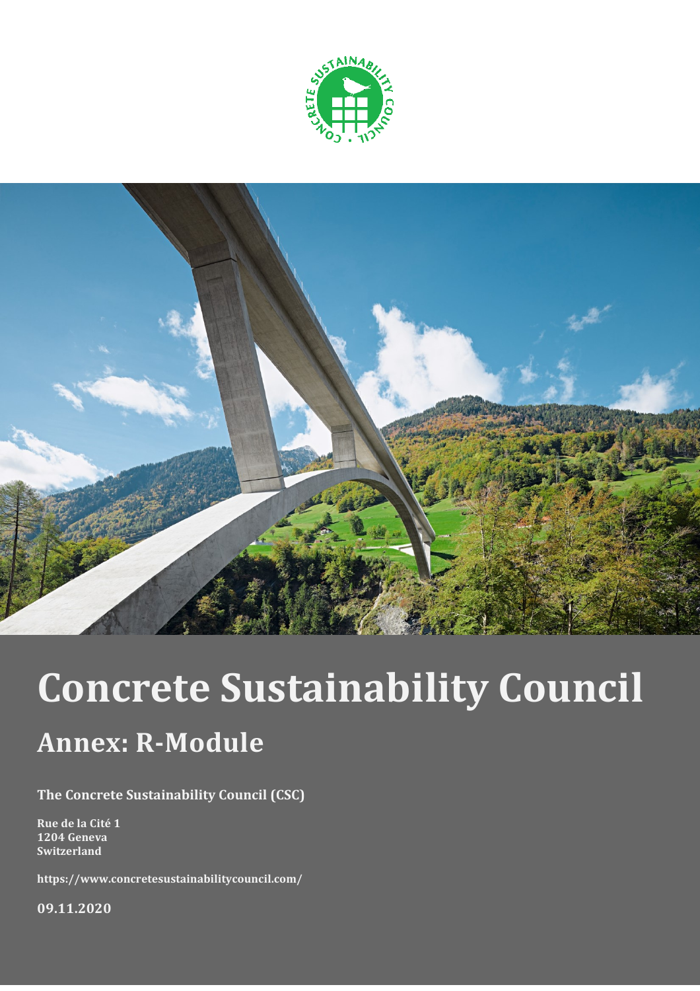



# **Concrete Sustainability Council**

## **Annex: R-Module**

The Concrete Sustainability Council (CSC)

Rue de la Cité 1 1204 Geneva Switzerland

https://www.concretesustainabilitycouncil.com/

09.11.2020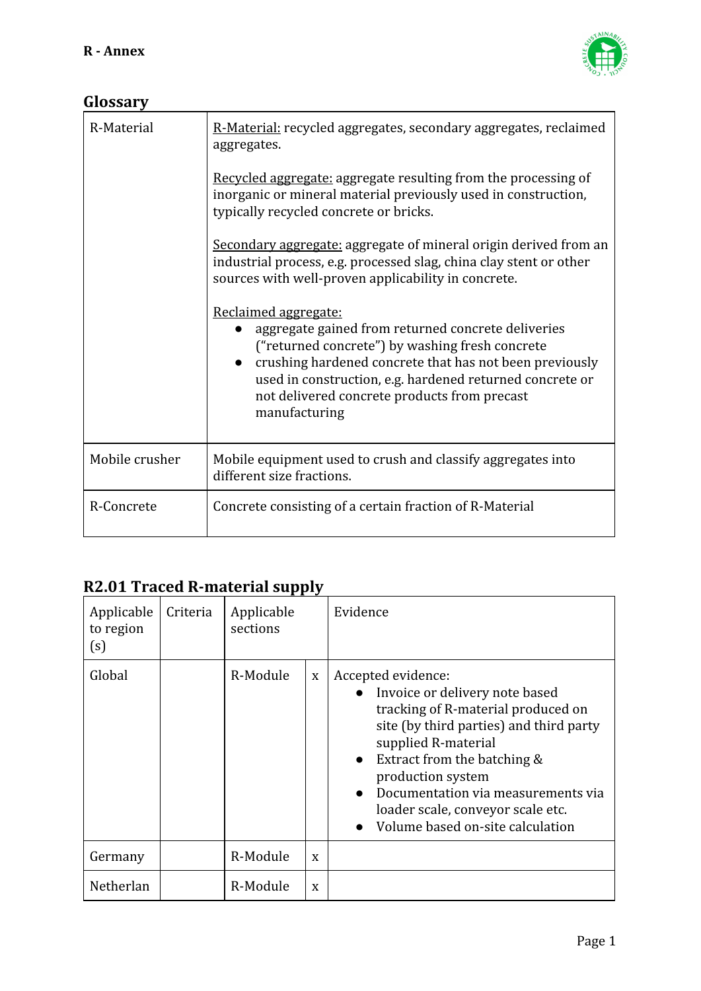

#### **Glossary**

| R-Material     | R-Material: recycled aggregates, secondary aggregates, reclaimed<br>aggregates.                                                                                                                                                                                                                                       |
|----------------|-----------------------------------------------------------------------------------------------------------------------------------------------------------------------------------------------------------------------------------------------------------------------------------------------------------------------|
|                | Recycled aggregate: aggregate resulting from the processing of<br>inorganic or mineral material previously used in construction,<br>typically recycled concrete or bricks.                                                                                                                                            |
|                | Secondary aggregate: aggregate of mineral origin derived from an<br>industrial process, e.g. processed slag, china clay stent or other<br>sources with well-proven applicability in concrete.                                                                                                                         |
|                | Reclaimed aggregate:<br>aggregate gained from returned concrete deliveries<br>("returned concrete") by washing fresh concrete<br>crushing hardened concrete that has not been previously<br>used in construction, e.g. hardened returned concrete or<br>not delivered concrete products from precast<br>manufacturing |
| Mobile crusher | Mobile equipment used to crush and classify aggregates into<br>different size fractions.                                                                                                                                                                                                                              |
| R-Concrete     | Concrete consisting of a certain fraction of R-Material                                                                                                                                                                                                                                                               |

#### **R2.01 Traced R-material supply**

| Applicable<br>to region<br>(s) | Criteria | Applicable<br>sections |   | Evidence                                                                                                                                                                                                                                                                                                                                     |
|--------------------------------|----------|------------------------|---|----------------------------------------------------------------------------------------------------------------------------------------------------------------------------------------------------------------------------------------------------------------------------------------------------------------------------------------------|
| Global                         |          | R-Module               | X | Accepted evidence:<br>Invoice or delivery note based<br>tracking of R-material produced on<br>site (by third parties) and third party<br>supplied R-material<br>Extract from the batching &<br>$\bullet$<br>production system<br>Documentation via measurements via<br>loader scale, conveyor scale etc.<br>Volume based on-site calculation |
| Germany                        |          | R-Module               | X |                                                                                                                                                                                                                                                                                                                                              |
| Netherlan                      |          | R-Module               | X |                                                                                                                                                                                                                                                                                                                                              |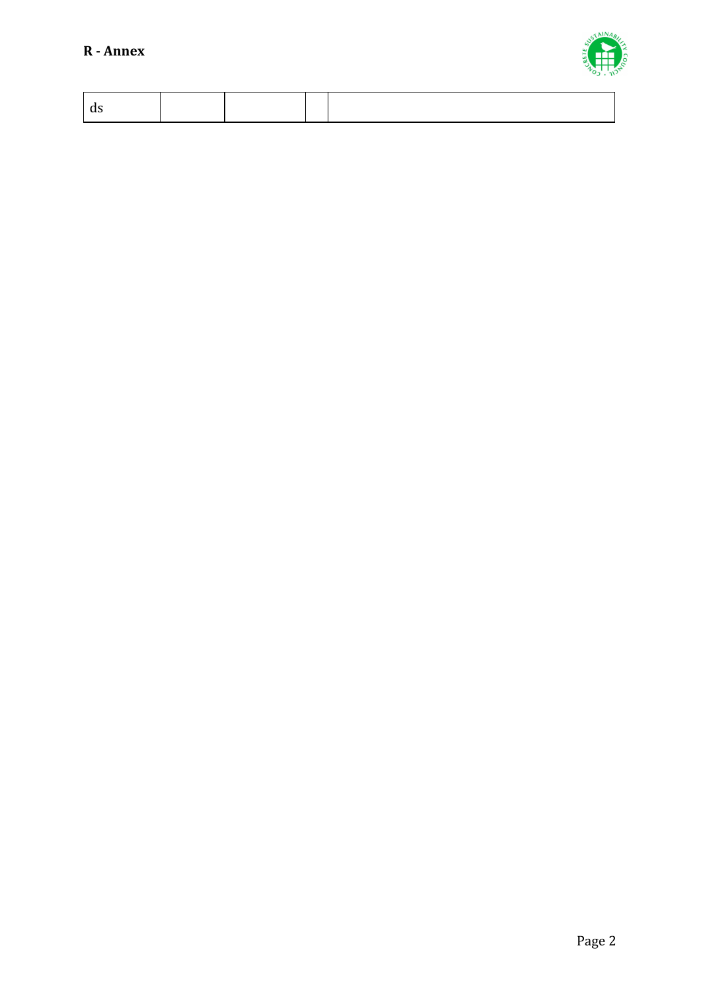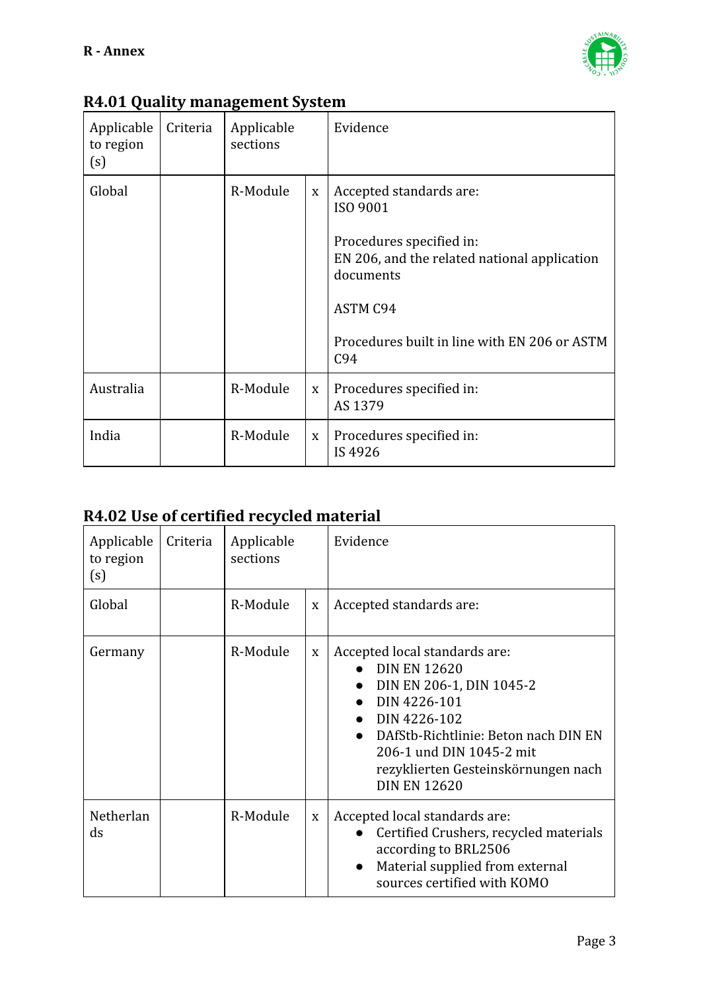

| Applicable<br>to region<br>(s) | Criteria | Applicable<br>sections |             | Evidence                                                                                                                                                                                               |
|--------------------------------|----------|------------------------|-------------|--------------------------------------------------------------------------------------------------------------------------------------------------------------------------------------------------------|
| Global                         |          | R-Module               | $\mathbf X$ | Accepted standards are:<br>ISO 9001<br>Procedures specified in:<br>EN 206, and the related national application<br>documents<br><b>ASTM C94</b><br>Procedures built in line with EN 206 or ASTM<br>C94 |
| Australia                      |          | R-Module               | X           | Procedures specified in:<br>AS 1379                                                                                                                                                                    |
| India                          |          | R-Module               | $\mathbf X$ | Procedures specified in:<br>IS 4926                                                                                                                                                                    |

#### **R4.01 Quality management System**

### **R4.02 Use of certified recycled material**

| Applicable<br>to region<br>(s) | Criteria | Applicable<br>sections |   | Evidence                                                                                                                                                                                                                                           |
|--------------------------------|----------|------------------------|---|----------------------------------------------------------------------------------------------------------------------------------------------------------------------------------------------------------------------------------------------------|
| Global                         |          | R-Module               | X | Accepted standards are:                                                                                                                                                                                                                            |
| Germany                        |          | R-Module               | X | Accepted local standards are:<br><b>DIN EN 12620</b><br>DIN EN 206-1, DIN 1045-2<br>DIN 4226-101<br>DIN 4226-102<br>DAfStb-Richtlinie: Beton nach DIN EN<br>206-1 und DIN 1045-2 mit<br>rezyklierten Gesteinskörnungen nach<br><b>DIN EN 12620</b> |
| Netherlan<br>$\mathrm{d} s$    |          | R-Module               | X | Accepted local standards are:<br>Certified Crushers, recycled materials<br>according to BRL2506<br>Material supplied from external<br>sources certified with KOMO                                                                                  |